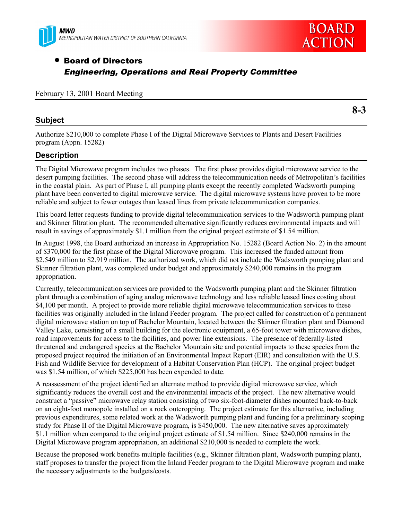



# • Board of Directors Engineering, Operations and Real Property Committee

#### February 13, 2001 Board Meeting

#### **Subject**

**8-3**

Authorize \$210,000 to complete Phase I of the Digital Microwave Services to Plants and Desert Facilities program (Appn. 15282)

#### **Description**

The Digital Microwave program includes two phases. The first phase provides digital microwave service to the desert pumping facilities. The second phase will address the telecommunication needs of Metropolitan's facilities in the coastal plain. As part of Phase I, all pumping plants except the recently completed Wadsworth pumping plant have been converted to digital microwave service. The digital microwave systems have proven to be more reliable and subject to fewer outages than leased lines from private telecommunication companies.

This board letter requests funding to provide digital telecommunication services to the Wadsworth pumping plant and Skinner filtration plant. The recommended alternative significantly reduces environmental impacts and will result in savings of approximately \$1.1 million from the original project estimate of \$1.54 million.

In August 1998, the Board authorized an increase in Appropriation No. 15282 (Board Action No. 2) in the amount of \$370,000 for the first phase of the Digital Microwave program. This increased the funded amount from \$2.549 million to \$2.919 million. The authorized work, which did not include the Wadsworth pumping plant and Skinner filtration plant, was completed under budget and approximately \$240,000 remains in the program appropriation.

Currently, telecommunication services are provided to the Wadsworth pumping plant and the Skinner filtration plant through a combination of aging analog microwave technology and less reliable leased lines costing about \$4,100 per month. A project to provide more reliable digital microwave telecommunication services to these facilities was originally included in the Inland Feeder program. The project called for construction of a permanent digital microwave station on top of Bachelor Mountain, located between the Skinner filtration plant and Diamond Valley Lake, consisting of a small building for the electronic equipment, a 65-foot tower with microwave dishes, road improvements for access to the facilities, and power line extensions. The presence of federally-listed threatened and endangered species at the Bachelor Mountain site and potential impacts to these species from the proposed project required the initiation of an Environmental Impact Report (EIR) and consultation with the U.S. Fish and Wildlife Service for development of a Habitat Conservation Plan (HCP). The original project budget was \$1.54 million, of which \$225,000 has been expended to date.

A reassessment of the project identified an alternate method to provide digital microwave service, which significantly reduces the overall cost and the environmental impacts of the project. The new alternative would construct a "passive" microwave relay station consisting of two six-foot-diameter dishes mounted back-to-back on an eight-foot monopole installed on a rock outcropping. The project estimate for this alternative, including previous expenditures, some related work at the Wadsworth pumping plant and funding for a preliminary scoping study for Phase II of the Digital Microwave program, is \$450,000. The new alternative saves approximately \$1.1 million when compared to the original project estimate of \$1.54 million. Since \$240,000 remains in the Digital Microwave program appropriation, an additional \$210,000 is needed to complete the work.

Because the proposed work benefits multiple facilities (e.g., Skinner filtration plant, Wadsworth pumping plant), staff proposes to transfer the project from the Inland Feeder program to the Digital Microwave program and make the necessary adjustments to the budgets/costs.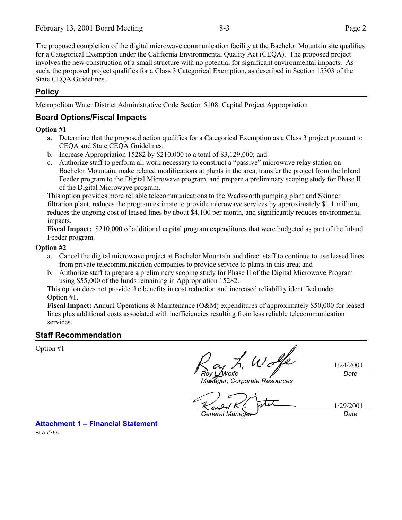The proposed completion of the digital microwave communication facility at the Bachelor Mountain site qualifies for a Categorical Exemption under the California Environmental Quality Act (CEQA). The proposed project involves the new construction of a small structure with no potential for significant environmental impacts. As such, the proposed project qualifies for a Class 3 Categorical Exemption, as described in Section 15303 of the State CEQA Guidelines.

## **Policy**

Metropolitan Water District Administrative Code Section 5108: Capital Project Appropriation

### **Board Options/Fiscal Impacts**

#### **Option #1**

- a. Determine that the proposed action qualifies for a Categorical Exemption as a Class 3 project pursuant to CEQA and State CEQA Guidelines;
- b. Increase Appropriation 15282 by \$210,000 to a total of \$3,129,000; and
- c. Authorize staff to perform all work necessary to construct a "passive" microwave relay station on Bachelor Mountain, make related modifications at plants in the area, transfer the project from the Inland Feeder program to the Digital Microwave program, and prepare a preliminary scoping study for Phase II of the Digital Microwave program.

This option provides more reliable telecommunications to the Wadsworth pumping plant and Skinner filtration plant, reduces the program estimate to provide microwave services by approximately \$1.1 million, reduces the ongoing cost of leased lines by about \$4,100 per month, and significantly reduces environmental impacts.

**Fiscal Impact:** \$210,000 of additional capital program expenditures that were budgeted as part of the Inland Feeder program.

#### **Option #2**

- a. Cancel the digital microwave project at Bachelor Mountain and direct staff to continue to use leased lines from private telecommunication companies to provide service to plants in this area; and
- b. Authorize staff to prepare a preliminary scoping study for Phase II of the Digital Microwave Program using \$55,000 of the funds remaining in Appropriation 15282.

This option does not provide the benefits in cost reduction and increased reliability identified under Option #1.

**Fiscal Impact:** Annual Operations & Maintenance (O&M) expenditures of approximately \$50,000 for leased lines plus additional costs associated with inefficiencies resulting from less reliable telecommunication services.

### **Staff Recommendation**

Option #1

1/24/2001 *Roy L. Wolfe Date*

*Manager, Corporate Resources*

1/29/2001 *General Manager Date*

**Attachment 1 – Financial Statement** BLA #756